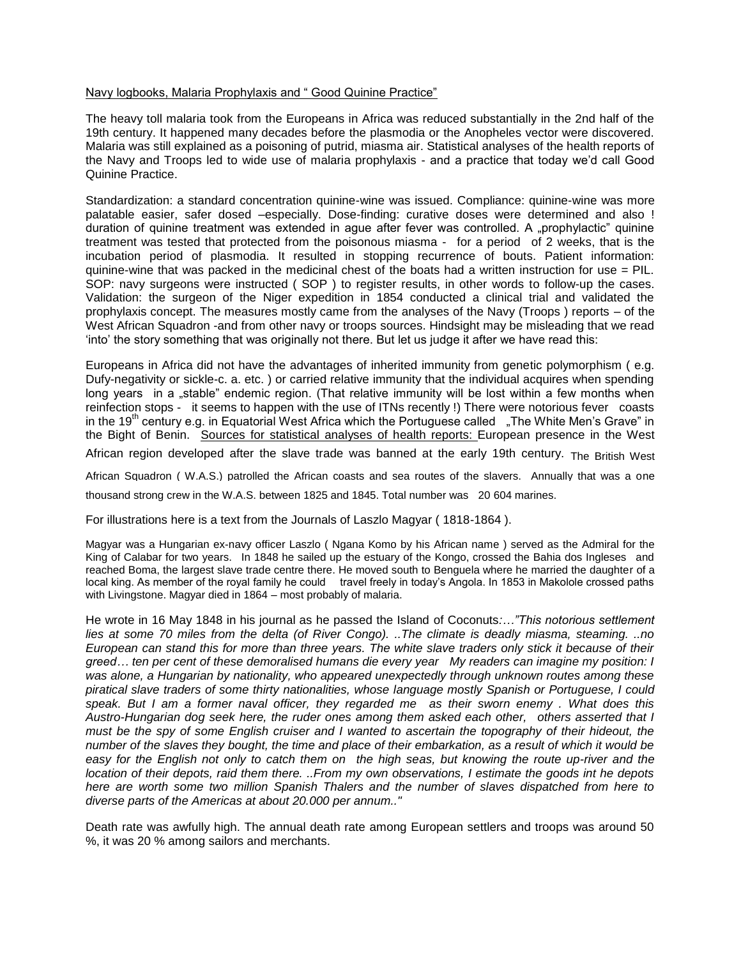# Navy logbooks, Malaria Prophylaxis and " Good Quinine Practice"

The heavy toll malaria took from the Europeans in Africa was reduced substantially in the 2nd half of the 19th century. It happened many decades before the plasmodia or the Anopheles vector were discovered. Malaria was still explained as a poisoning of putrid, miasma air. Statistical analyses of the health reports of the Navy and Troops led to wide use of malaria prophylaxis - and a practice that today we'd call Good Quinine Practice.

Standardization: a standard concentration quinine-wine was issued. Compliance: quinine-wine was more palatable easier, safer dosed –especially. Dose-finding: curative doses were determined and also ! duration of quinine treatment was extended in aque after fever was controlled. A "prophylactic" quinine treatment was tested that protected from the poisonous miasma - for a period of 2 weeks, that is the incubation period of plasmodia. It resulted in stopping recurrence of bouts. Patient information: quinine-wine that was packed in the medicinal chest of the boats had a written instruction for use = PIL. SOP: navy surgeons were instructed ( SOP ) to register results, in other words to follow-up the cases. Validation: the surgeon of the Niger expedition in 1854 conducted a clinical trial and validated the prophylaxis concept. The measures mostly came from the analyses of the Navy (Troops ) reports – of the West African Squadron -and from other navy or troops sources. Hindsight may be misleading that we read 'into' the story something that was originally not there. But let us judge it after we have read this:

Europeans in Africa did not have the advantages of inherited immunity from genetic polymorphism ( e.g. Dufy-negativity or sickle-c. a. etc. ) or carried relative immunity that the individual acquires when spending long years in a "stable" endemic region. (That relative immunity will be lost within a few months when reinfection stops - it seems to happen with the use of ITNs recently !) There were notorious fever coasts in the 19<sup>th</sup> century e.g. in Equatorial West Africa which the Portuguese called  $\Box$  The White Men's Grave" in the Bight of Benin. Sources for statistical analyses of health reports: European presence in the West

African region developed after the slave trade was banned at the early 19th century. The British West

African Squadron ( W.A.S.) patrolled the African coasts and sea routes of the slavers. Annually that was a one thousand strong crew in the W.A.S. between 1825 and 1845. Total number was 20 604 marines.

For illustrations here is a text from the Journals of Laszlo Magyar ( 1818-1864 ).

Magyar was a Hungarian ex-navy officer Laszlo ( Ngana Komo by his African name ) served as the Admiral for the King of Calabar for two years. In 1848 he sailed up the estuary of the Kongo, crossed the Bahia dos Ingleses and reached Boma, the largest slave trade centre there. He moved south to Benguela where he married the daughter of a local king. As member of the royal family he could travel freely in today's Angola. In 1853 in Makolole crossed paths with Livingstone. Magyar died in 1864 – most probably of malaria.

He wrote in 16 May 1848 in his journal as he passed the Island of Coconuts*:…"This notorious settlement lies at some 70 miles from the delta (of River Congo). ..The climate is deadly miasma, steaming. ..no European can stand this for more than three years. The white slave traders only stick it because of their greed… ten per cent of these demoralised humans die every year My readers can imagine my position: I was alone, a Hungarian by nationality, who appeared unexpectedly through unknown routes among these piratical slave traders of some thirty nationalities, whose language mostly Spanish or Portuguese, I could speak. But I am a former naval officer, they regarded me as their sworn enemy . What does this Austro-Hungarian dog seek here, the ruder ones among them asked each other, others asserted that I must be the spy of some English cruiser and I wanted to ascertain the topography of their hideout, the number of the slaves they bought, the time and place of their embarkation, as a result of which it would be easy for the English not only to catch them on the high seas, but knowing the route up-river and the location of their depots, raid them there. ..From my own observations, I estimate the goods int he depots here are worth some two million Spanish Thalers and the number of slaves dispatched from here to diverse parts of the Americas at about 20.000 per annum.."*

Death rate was awfully high. The annual death rate among European settlers and troops was around 50 %, it was 20 % among sailors and merchants.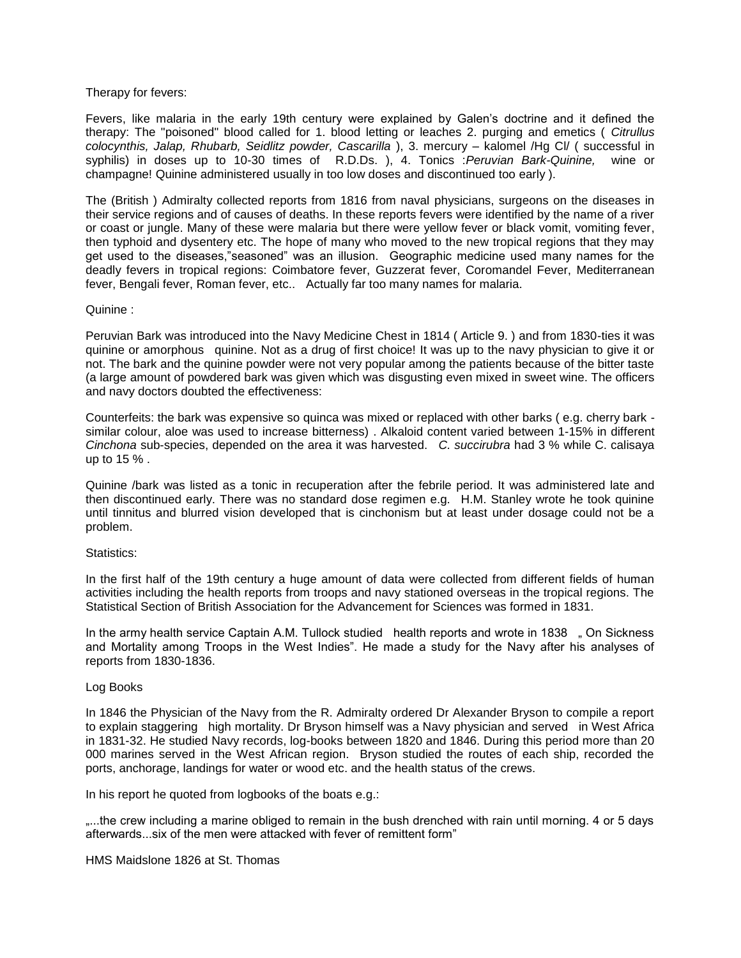# Therapy for fevers:

Fevers, like malaria in the early 19th century were explained by Galen's doctrine and it defined the therapy: The "poisoned" blood called for 1. blood letting or leaches 2. purging and emetics ( *Citrullus colocynthis, Jalap, Rhubarb, Seidlitz powder, Cascarilla* ), 3. mercury – kalomel /Hg Cl/ ( successful in syphilis) in doses up to 10-30 times of R.D.Ds. ), 4. Tonics :*Peruvian Bark-Quinine,* wine or champagne! Quinine administered usually in too low doses and discontinued too early ).

The (British ) Admiralty collected reports from 1816 from naval physicians, surgeons on the diseases in their service regions and of causes of deaths. In these reports fevers were identified by the name of a river or coast or jungle. Many of these were malaria but there were yellow fever or black vomit, vomiting fever, then typhoid and dysentery etc. The hope of many who moved to the new tropical regions that they may get used to the diseases,"seasoned" was an illusion. Geographic medicine used many names for the deadly fevers in tropical regions: Coimbatore fever, Guzzerat fever, Coromandel Fever, Mediterranean fever, Bengali fever, Roman fever, etc.. Actually far too many names for malaria.

### Quinine :

Peruvian Bark was introduced into the Navy Medicine Chest in 1814 ( Article 9. ) and from 1830-ties it was quinine or amorphous quinine. Not as a drug of first choice! It was up to the navy physician to give it or not. The bark and the quinine powder were not very popular among the patients because of the bitter taste (a large amount of powdered bark was given which was disgusting even mixed in sweet wine. The officers and navy doctors doubted the effectiveness:

Counterfeits: the bark was expensive so quinca was mixed or replaced with other barks ( e.g. cherry bark similar colour, aloe was used to increase bitterness) . Alkaloid content varied between 1-15% in different *Cinchona* sub-species, depended on the area it was harvested. *C. succirubra* had 3 % while C. calisaya up to 15 % .

Quinine /bark was listed as a tonic in recuperation after the febrile period. It was administered late and then discontinued early. There was no standard dose regimen e.g. H.M. Stanley wrote he took quinine until tinnitus and blurred vision developed that is cinchonism but at least under dosage could not be a problem.

### Statistics:

In the first half of the 19th century a huge amount of data were collected from different fields of human activities including the health reports from troops and navy stationed overseas in the tropical regions. The Statistical Section of British Association for the Advancement for Sciences was formed in 1831.

In the army health service Captain A.M. Tullock studied health reports and wrote in 1838 " On Sickness and Mortality among Troops in the West Indies". He made a study for the Navy after his analyses of reports from 1830-1836.

### Log Books

In 1846 the Physician of the Navy from the R. Admiralty ordered Dr Alexander Bryson to compile a report to explain staggering high mortality. Dr Bryson himself was a Navy physician and served in West Africa in 1831-32. He studied Navy records, log-books between 1820 and 1846. During this period more than 20 000 marines served in the West African region. Bryson studied the routes of each ship, recorded the ports, anchorage, landings for water or wood etc. and the health status of the crews.

In his report he quoted from logbooks of the boats e.g.:

....the crew including a marine obliged to remain in the bush drenched with rain until morning. 4 or 5 days afterwards...six of the men were attacked with fever of remittent form"

HMS Maidslone 1826 at St. Thomas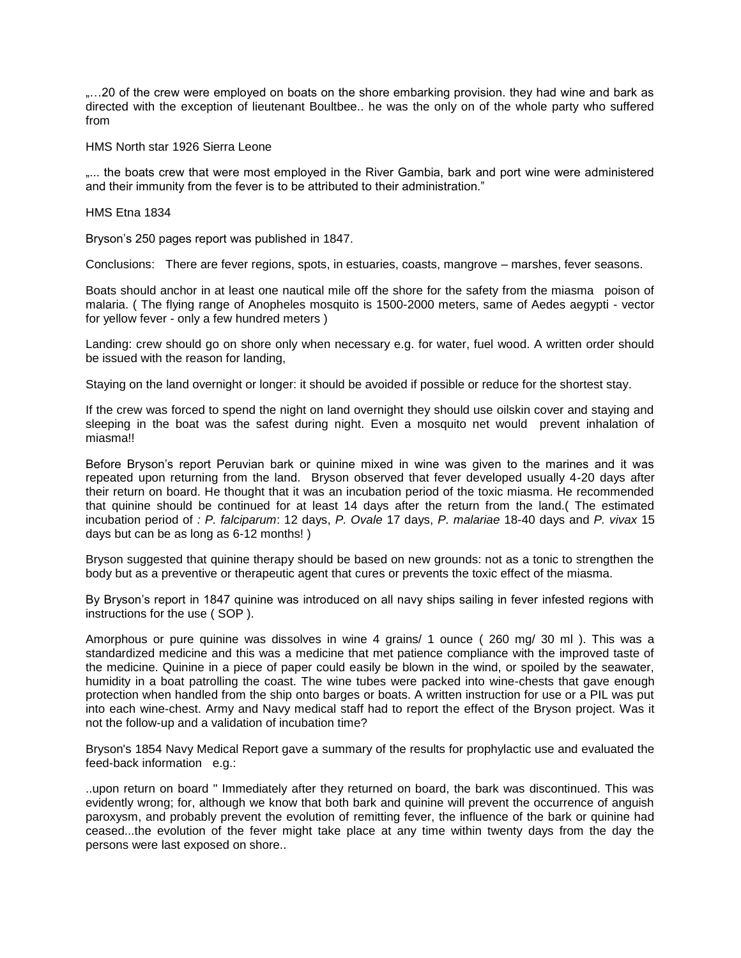....20 of the crew were employed on boats on the shore embarking provision. they had wine and bark as directed with the exception of lieutenant Boultbee.. he was the only on of the whole party who suffered from

HMS North star 1926 Sierra Leone

.... the boats crew that were most employed in the River Gambia, bark and port wine were administered and their immunity from the fever is to be attributed to their administration."

HMS Etna 1834

Bryson's 250 pages report was published in 1847.

Conclusions: There are fever regions, spots, in estuaries, coasts, mangrove – marshes, fever seasons.

Boats should anchor in at least one nautical mile off the shore for the safety from the miasma poison of malaria. ( The flying range of Anopheles mosquito is 1500-2000 meters, same of Aedes aegypti - vector for yellow fever - only a few hundred meters )

Landing: crew should go on shore only when necessary e.g. for water, fuel wood. A written order should be issued with the reason for landing,

Staying on the land overnight or longer: it should be avoided if possible or reduce for the shortest stay.

If the crew was forced to spend the night on land overnight they should use oilskin cover and staying and sleeping in the boat was the safest during night. Even a mosquito net would prevent inhalation of miasma!!

Before Bryson's report Peruvian bark or quinine mixed in wine was given to the marines and it was repeated upon returning from the land. Bryson observed that fever developed usually 4-20 days after their return on board. He thought that it was an incubation period of the toxic miasma. He recommended that quinine should be continued for at least 14 days after the return from the land.( The estimated incubation period of *: P. falciparum*: 12 days, *P. Ovale* 17 days, *P. malariae* 18-40 days and *P. vivax* 15 days but can be as long as 6-12 months! )

Bryson suggested that quinine therapy should be based on new grounds: not as a tonic to strengthen the body but as a preventive or therapeutic agent that cures or prevents the toxic effect of the miasma.

By Bryson's report in 1847 quinine was introduced on all navy ships sailing in fever infested regions with instructions for the use ( SOP ).

Amorphous or pure quinine was dissolves in wine 4 grains/ 1 ounce ( 260 mg/ 30 ml ). This was a standardized medicine and this was a medicine that met patience compliance with the improved taste of the medicine. Quinine in a piece of paper could easily be blown in the wind, or spoiled by the seawater, humidity in a boat patrolling the coast. The wine tubes were packed into wine-chests that gave enough protection when handled from the ship onto barges or boats. A written instruction for use or a PIL was put into each wine-chest. Army and Navy medical staff had to report the effect of the Bryson project. Was it not the follow-up and a validation of incubation time?

Bryson's 1854 Navy Medical Report gave a summary of the results for prophylactic use and evaluated the feed-back information e.g.:

..upon return on board " Immediately after they returned on board, the bark was discontinued. This was evidently wrong; for, although we know that both bark and quinine will prevent the occurrence of anguish paroxysm, and probably prevent the evolution of remitting fever, the influence of the bark or quinine had ceased...the evolution of the fever might take place at any time within twenty days from the day the persons were last exposed on shore..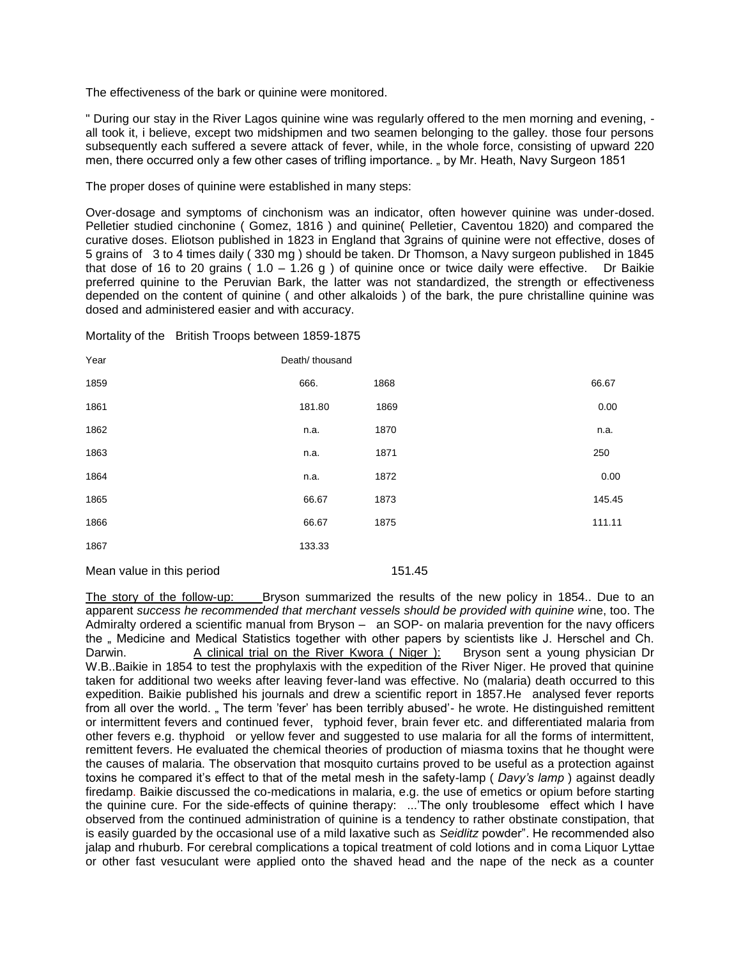The effectiveness of the bark or quinine were monitored.

" During our stay in the River Lagos quinine wine was regularly offered to the men morning and evening, all took it, i believe, except two midshipmen and two seamen belonging to the galley. those four persons subsequently each suffered a severe attack of fever, while, in the whole force, consisting of upward 220 men, there occurred only a few other cases of trifling importance. " by Mr. Heath, Navy Surgeon 1851

The proper doses of quinine were established in many steps:

Over-dosage and symptoms of cinchonism was an indicator, often however quinine was under-dosed. Pelletier studied cinchonine ( Gomez, 1816 ) and quinine( Pelletier, Caventou 1820) and compared the curative doses. Eliotson published in 1823 in England that 3grains of quinine were not effective, doses of 5 grains of 3 to 4 times daily ( 330 mg ) should be taken. Dr Thomson, a Navy surgeon published in 1845 that dose of 16 to 20 grains ( $1.0 - 1.26$  g) of quinine once or twice daily were effective. Dr Baikie preferred quinine to the Peruvian Bark, the latter was not standardized, the strength or effectiveness depended on the content of quinine ( and other alkaloids ) of the bark, the pure christalline quinine was dosed and administered easier and with accuracy.

Mortality of the British Troops between 1859-1875

| Year | Death/ thousand |      |        |
|------|-----------------|------|--------|
| 1859 | 666.            | 1868 | 66.67  |
| 1861 | 181.80          | 1869 | 0.00   |
| 1862 | n.a.            | 1870 | n.a.   |
| 1863 | n.a.            | 1871 | 250    |
| 1864 | n.a.            | 1872 | 0.00   |
| 1865 | 66.67           | 1873 | 145.45 |
| 1866 | 66.67           | 1875 | 111.11 |
| 1867 | 133.33          |      |        |
|      |                 |      |        |

Mean value in this period 151.45

The story of the follow-up: Bryson summarized the results of the new policy in 1854.. Due to an apparent *success he recommended that merchant vessels should be provided with quinine wi*ne, too. The Admiralty ordered a scientific manual from Bryson – an SOP- on malaria prevention for the navy officers the " Medicine and Medical Statistics together with other papers by scientists like J. Herschel and Ch. Darwin. A clinical trial on the River Kwora ( Niger ): Bryson sent a young physician Dr W.B..Baikie in 1854 to test the prophylaxis with the expedition of the River Niger. He proved that quinine taken for additional two weeks after leaving fever-land was effective. No (malaria) death occurred to this expedition. Baikie published his journals and drew a scientific report in 1857.He analysed fever reports from all over the world. "The term 'fever' has been terribly abused'- he wrote. He distinguished remittent or intermittent fevers and continued fever, typhoid fever, brain fever etc. and differentiated malaria from other fevers e.g. thyphoid or yellow fever and suggested to use malaria for all the forms of intermittent, remittent fevers. He evaluated the chemical theories of production of miasma toxins that he thought were the causes of malaria. The observation that mosquito curtains proved to be useful as a protection against toxins he compared it's effect to that of the metal mesh in the safety-lamp ( *Davy's lamp* ) against deadly firedamp. Baikie discussed the co-medications in malaria, e.g. the use of emetics or opium before starting the quinine cure. For the side-effects of quinine therapy: ...'The only troublesome effect which I have observed from the continued administration of quinine is a tendency to rather obstinate constipation, that is easily guarded by the occasional use of a mild laxative such as *Seidlitz* powder". He recommended also jalap and rhuburb. For cerebral complications a topical treatment of cold lotions and in coma Liquor Lyttae or other fast vesuculant were applied onto the shaved head and the nape of the neck as a counter